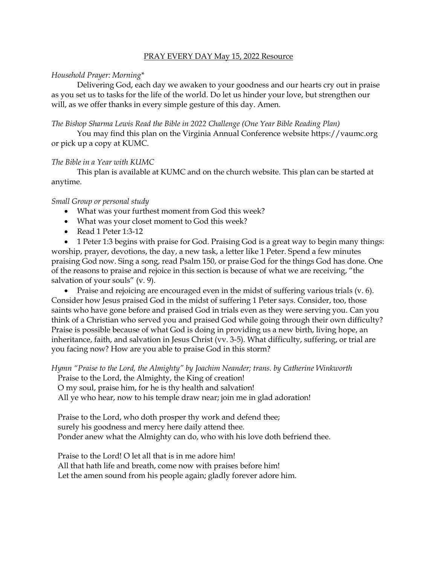#### PRAY EVERY DAY May 15, 2022 Resource

# *Household Prayer: Morning\**

Delivering God, each day we awaken to your goodness and our hearts cry out in praise as you set us to tasks for the life of the world. Do let us hinder your love, but strengthen our will, as we offer thanks in every simple gesture of this day. Amen.

## *The Bishop Sharma Lewis Read the Bible in 2022 Challenge (One Year Bible Reading Plan)*

You may find this plan on the Virginia Annual Conference website [https://vaumc.org](https://vaumc.org/) or pick up a copy at KUMC.

## *The Bible in a Year with KUMC*

This plan is available at KUMC and on the church website. This plan can be started at anytime.

## *Small Group or personal study*

- What was your furthest moment from God this week?
- What was your closet moment to God this week?
- Read 1 Peter 1:3-12

• 1 Peter 1:3 begins with praise for God. Praising God is a great way to begin many things: worship, prayer, devotions, the day, a new task, a letter like 1 Peter. Spend a few minutes praising God now. Sing a song, read Psalm 150, or praise God for the things God has done. One of the reasons to praise and rejoice in this section is because of what we are receiving, "the salvation of your souls" (v. 9).

• Praise and rejoicing are encouraged even in the midst of suffering various trials (v. 6). Consider how Jesus praised God in the midst of suffering 1 Peter says. Consider, too, those saints who have gone before and praised God in trials even as they were serving you. Can you think of a Christian who served you and praised God while going through their own difficulty? Praise is possible because of what God is doing in providing us a new birth, living hope, an inheritance, faith, and salvation in Jesus Christ (vv. 3-5). What difficulty, suffering, or trial are you facing now? How are you able to praise God in this storm?

*Hymn "Praise to the Lord, the Almighty" by Joachim Neander; trans. by Catherine Winkworth* Praise to the Lord, the Almighty, the King of creation!

O my soul, praise him, for he is thy health and salvation!

All ye who hear, now to his temple draw near; join me in glad adoration!

Praise to the Lord, who doth prosper thy work and defend thee; surely his goodness and mercy here daily attend thee. Ponder anew what the Almighty can do, who with his love doth befriend thee.

Praise to the Lord! O let all that is in me adore him! All that hath life and breath, come now with praises before him! Let the amen sound from his people again; gladly forever adore him.